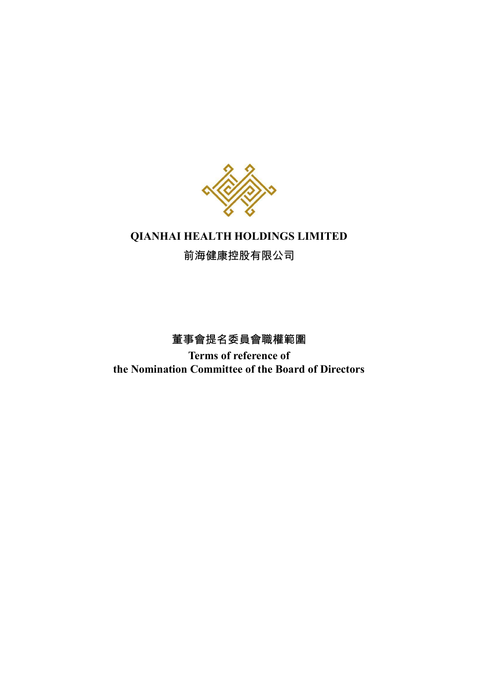

# **QIANHAI HEALTH HOLDINGS LIMITED**

前海健康控股有限公司

董事會提名委員會職權範圍 **Terms of reference of the Nomination Committee of the Board of Directors**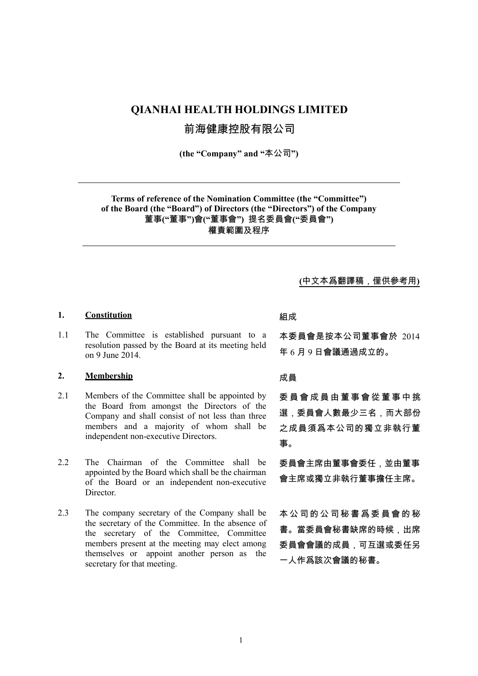## **QIANHAI HEALTH HOLDINGS LIMITED**

前海健康控股有限公司

**(the "Company" and "**本公司**")**

**Terms of reference of the Nomination Committee (the "Committee") of the Board (the "Board") of Directors (the "Directors") of the Company** 董事**("**董事**")**會**("**董事會**")** 提名委員會**("**委員會**")** 權責範圍及程序

**(**中文本爲翻譯稿,僅供參考用**)**

### **1. Constitution** 組成

1.1 The Committee is established pursuant to a resolution passed by the Board at its meeting held on 9 June 2014.

### **2. Membership** 成員

- 2.1 Members of the Committee shall be appointed by the Board from amongst the Directors of the Company and shall consist of not less than three members and a majority of whom shall be independent non-executive Directors.
- 2.2 The Chairman of the Committee shall be appointed by the Board which shall be the chairman of the Board or an independent non-executive Director.
- 2.3 The company secretary of the Company shall be the secretary of the Committee. In the absence of the secretary of the Committee, Committee members present at the meeting may elect among themselves or appoint another person as the secretary for that meeting.

本委員會是按本公司董事會於 2014 年 6 月 9 日會議通過成立的。

委 員 會 成 員 由 董 事 會 從 董 事 中 挑 選,委員會人數最少三名,而大部份 之成員須爲本公司的獨立非執行董 事。

委員會主席由董事會委任,並由董事 會主席或獨立非執行董事擔任主席。

本 公 司 的 公 司 秘 書 爲 委 員 會 的 秘 書。當委員會秘書缺席的時候,出席 委員會會議的成員,可互選或委任另 一人作爲該次會議的秘書。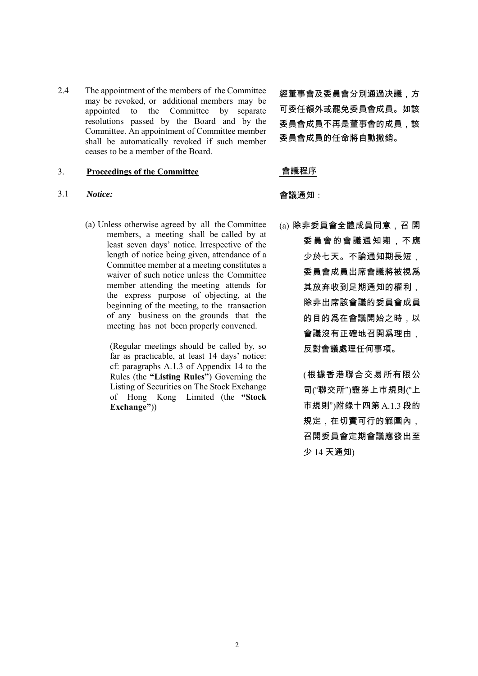2.4 The appointment of the members of the Committee may be revoked, or additional members may be appointed to the Committee by separate resolutions passed by the Board and by the Committee. An appointment of Committee member shall be automatically revoked if such member ceases to be a member of the Board.

### 3. **Proceedings of the Committee** 會議程序

### 3.1 *Notice:* 會議通知:

(a) Unless otherwise agreed by all the Committee members, a meeting shall be called by at least seven days' notice. Irrespective of the length of notice being given, attendance of a Committee member at a meeting constitutes a waiver of such notice unless the Committee member attending the meeting attends for the express purpose of objecting, at the beginning of the meeting, to the transaction of any business on the grounds that the meeting has not been properly convened.

> (Regular meetings should be called by, so far as practicable, at least 14 days' notice: cf: paragraphs A.1.3 of Appendix 14 to the Rules (the **"Listing Rules"**) Governing the Listing of Securities on The Stock Exchange of Hong Kong Limited (the **"Stock Exchange"**))

經董事會及委員會分別通過决議,方 可委任額外或罷免委員會成員。如該 委員會成員不再是董事會的成員、該 委員會成員的任命將自動撤銷。

(a) 除非委員會全體成員同意,召 開 委員會的會議通知期,不應 少於七天。不論通知期長短, 委員會成員出席會議將被視爲 其放弃收到足期通知的權利, 除非出席該會議的委員會成員 的目的爲在會議開始之時,以 會議沒有正確地召開爲理由, 反對會議處理任何事項。

> (根據香港聯合交易所有限公 司("聯交所")證券上巿規則("上 市規則")附錄十四第 A.1.3 段的 規定,在切實可行的範圍內, 召開委員會定期會議應發出至 少 14 天通知)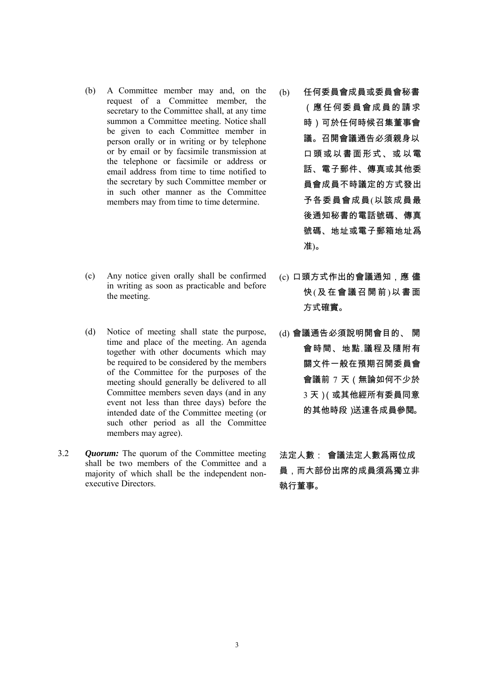- (b) A Committee member may and, on the request of a Committee member, the secretary to the Committee shall, at any time summon a Committee meeting. Notice shall be given to each Committee member in person orally or in writing or by telephone or by email or by facsimile transmission at the telephone or facsimile or address or email address from time to time notified to the secretary by such Committee member or in such other manner as the Committee members may from time to time determine.
- (c) Any notice given orally shall be confirmed in writing as soon as practicable and before the meeting.
- (d) Notice of meeting shall state the purpose, time and place of the meeting. An agenda together with other documents which may be required to be considered by the members of the Committee for the purposes of the meeting should generally be delivered to all Committee members seven days (and in any event not less than three days) before the intended date of the Committee meeting (or such other period as all the Committee members may agree).
- 3.2 *Quorum:* The quorum of the Committee meeting shall be two members of the Committee and a majority of which shall be the independent nonexecutive Directors.
- (b) 任何委員會成員或委員會秘書 (應 任何委員會成員 的 請 求 時)可於任何時候召集董事會 議。召開會議通告必須親身以 口頭或以書面形式、或 以電 話、電子郵件、傳真或其他委 員會成員不時議定的方式發出 予各委員會成員(以該成員最 後通知秘書的電話號碼、傳真 號碼、地址或電子郵箱地址爲 准)。
- (c) 口頭方式作出的會議通知,應 儘 快(及在會議召開前)以書面 方式確實。
- (d) 會議通告必須說明開會目的、 開 會時間、地點.議程及隨附有 關文件一般在預期召開委員會 會議前 7 天(無論如何不少於 3 天)(或其他經所有委員同意 的其他時段)送達各成員參閱。

法定人數: 會議法定人數爲兩位成 員,而大部份出席的成員須爲獨立非 執行董事。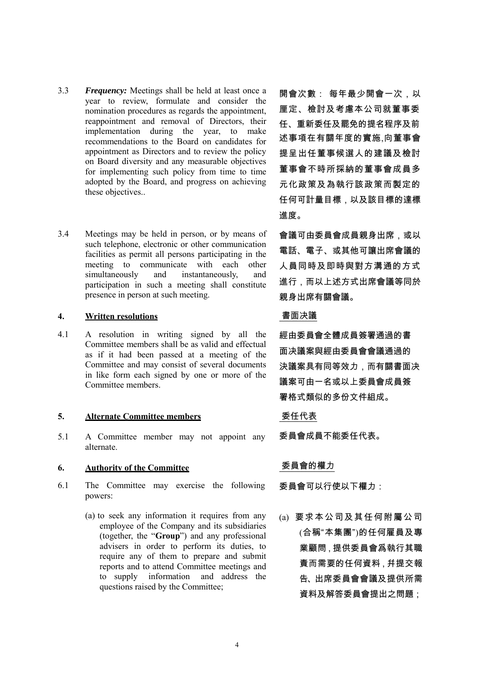- 3.3 *Frequency:* Meetings shall be held at least once a year to review, formulate and consider the nomination procedures as regards the appointment, reappointment and removal of Directors, their implementation during the year, to make recommendations to the Board on candidates for appointment as Directors and to review the policy on Board diversity and any measurable objectives for implementing such policy from time to time adopted by the Board, and progress on achieving these objectives..
- 3.4 Meetings may be held in person, or by means of such telephone, electronic or other communication facilities as permit all persons participating in the meeting to communicate with each other simultaneously and instantaneously, and participation in such a meeting shall constitute presence in person at such meeting.

### **4. Written resolutions** 書面决議

4.1 A resolution in writing signed by all the Committee members shall be as valid and effectual as if it had been passed at a meeting of the Committee and may consist of several documents in like form each signed by one or more of the Committee members.

### **5. Alternate Committee members** 委任代表

5.1 A Committee member may not appoint any alternate.

## **6. Authority of the Committee** 委員會的權力

- 6.1 The Committee may exercise the following powers:
	- (a) to seek any information it requires from any employee of the Company and its subsidiaries (together, the "**Group**") and any professional advisers in order to perform its duties, to require any of them to prepare and submit reports and to attend Committee meetings and to supply information and address the questions raised by the Committee;

開會次數: 每年最少開會一次,以 厘定、檢討及考慮本公司就董事委 任、重新委任及罷免的提名程序及前 述事項在有關年度的實施,向董事會 提呈出任董事候選人的建議及檢討 董事會不時所採納的董事會成員多 元化政策及為執行該政策而製定的 任何可計量目標,以及該目標的達標 進度。

會議可由委員會成員親身出席,或以 電話、電子、或其他可讓出席會議的 人員同時及即時與對方溝通的方式 進行,而以上述方式出席會議等同於 親身出席有關會議。

經由委員會全體成員簽署通過的書 面决議案與經由委員會會議通過的 決議案具有同等效力,而有關書面决 議案可由一名或以上委員會成員簽 署格式類似的多份文件組成。

委員會成員不能委任代表。

委員會可以行使以下權力:

(a) 要求本公司及其任何附屬公司 (合稱"本集團")的任何雇員及專 業顧問,提供委員會爲執行其職 責而需要的任何資料,幷提交報 告、出席委員會會議及提供所需 資料及解答委員會提出之問題;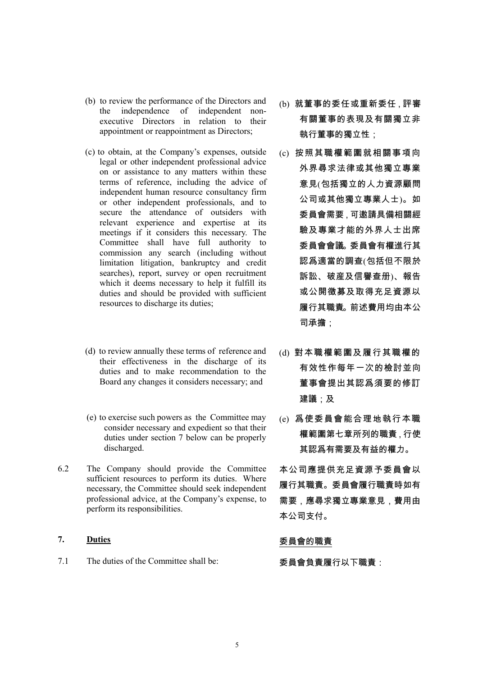- (b) to review the performance of the Directors and the independence of independent nonexecutive Directors in relation to their appointment or reappointment as Directors;
- (c) to obtain, at the Company's expenses, outside legal or other independent professional advice on or assistance to any matters within these terms of reference, including the advice of independent human resource consultancy firm or other independent professionals, and to secure the attendance of outsiders with relevant experience and expertise at its meetings if it considers this necessary. The Committee shall have full authority to commission any search (including without limitation litigation, bankruptcy and credit searches), report, survey or open recruitment which it deems necessary to help it fulfill its duties and should be provided with sufficient resources to discharge its duties;
- (d) to review annually these terms of reference and their effectiveness in the discharge of its duties and to make recommendation to the Board any changes it considers necessary; and
- (e) to exercise such powers as the Committee may consider necessary and expedient so that their duties under section 7 below can be properly discharged.
- 6.2 The Company should provide the Committee sufficient resources to perform its duties. Where necessary, the Committee should seek independent professional advice, at the Company's expense, to perform its responsibilities.

## 7. **Duties buties Duties buties buties buties buties buties buties buties buties**

7.1 The duties of the Committee shall be: 委員會負責履行以下職責:

- (b) 就董事的委任或重新委任,評審 有關董事的表現及有關獨立非 執行董事的獨立性;
- (c) 按照其職權範圍就相關事項向 外界尋求法律或其他獨立專業 意見(包括獨立的人力資源顧問 公司或其他獨立專業人士)。如 委員會需要,可邀請具備相關經 驗及專業才能的外界人士出席 委員會會議。委員會有權進行其 認爲適當的調查(包括但不限於 訴訟、破産及信譽查册)、報告 或公開徵募及取得充足資源以 履行其職責。前述費用均由本公 司承擔;
- (d) 對本職權範圍及履行其職權的 有效性作每年一次的檢討並向 董事會提出其認爲須要的修訂 建議;及
- (e) 爲使委員會能合理地執行本職 權範圍第七章所列的職責,行使 其認爲有需要及有益的權力。
- 本公司應提供充足資源予委員會以 履行其職責。委員會履行職責時如有 需要,應尋求獨立專業意見,費用由 本公司支付。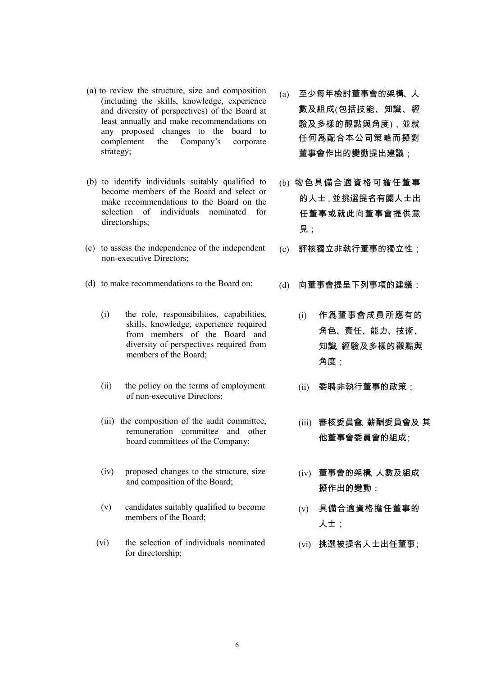- (a) to review the structure, size and composition (including the skills, knowledge, experience and diversity of perspectives) of the Board at least annually and make recommendations on any proposed changes to the board to complement the Company's corporate strategy;
- (b) to identify individuals suitably qualified to become members of the Board and select or make recommendations to the Board on the selection of individuals nominated for directorships;
- (c) to assess the independence of the independent non-executive Directors;
- (d) to make recommendations to the Board on: (d) 向董事會提呈下列事項的建議:
	- (i) the role, responsibilities, capabilities, skills, knowledge, experience required from members of the Board and diversity of perspectives required from members of the Board;
	- (ii) the policy on the terms of employment of non-executive Directors;
	- (iii) the composition of the audit committee, remuneration committee and other board committees of the Company;
	- (iv) proposed changes to the structure, size and composition of the Board;
	- (v) candidates suitably qualified to become members of the Board;
	- (vi) the selection of individuals nominated for directorship;
- (a) 至少每年檢討董事會的架構、人 數及組成(包括技能、知識、經 驗及多樣的觀點與角度),並就 任何爲配合本公司策略而擬對 董事會作出的變動提出建議;
- (b) 物色具備合適資格可擔任董事 的人士,並挑選提名有關人士出 任董事或就此向董事會提供意 見;
- (c) 評核獨立非執行董事的獨立性;
- - (i) 作爲董事會成員所應有的 角色、責任、能力、技術、 知識、經驗及多樣的觀點與 角度;
	- (ii) 委聘非執行董事的政策;
	- (iii) 審核委員會、薪酬委員會及 其 他董事會委員會的組成;
	- (iv) 董事會的架構、人數及組成 擬作出的變動;
	- (v) 具備合適資格擔任董事的 人士;
	- (vi) 挑選被提名人士出任董事;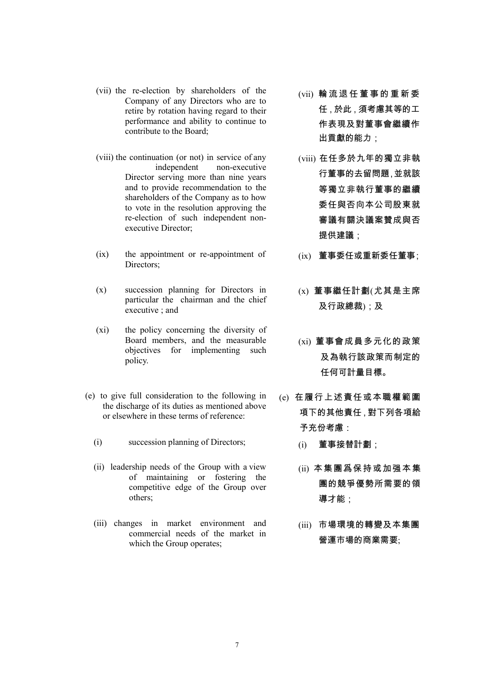- (vii) the re-election by shareholders of the Company of any Directors who are to retire by rotation having regard to their performance and ability to continue to contribute to the Board;
- (viii) the continuation (or not) in service of any independent non-executive Director serving more than nine years and to provide recommendation to the shareholders of the Company as to how to vote in the resolution approving the re-election of such independent nonexecutive Director;
- (ix) the appointment or re-appointment of Directors;
- (x) succession planning for Directors in particular the chairman and the chief executive ; and
- (xi) the policy concerning the diversity of Board members, and the measurable objectives for implementing such policy.
- (e) to give full consideration to the following in the discharge of its duties as mentioned above or elsewhere in these terms of reference:
	- (i) succession planning of Directors; (i) 董事接替計劃;
	- (ii) leadership needs of the Group with a view of maintaining or fostering the competitive edge of the Group over others;
	- (iii) changes in market environment and commercial needs of the market in which the Group operates;
- (vii) 輪 流 退 任 董 事 的 重 新 委 任,於此,須考慮其等的工 作表現及對董事會繼續作 出貢獻的能力;
- (viii) 在任多於九年的獨立非執 行董事的去留問題,並就該 等獨立非執行董事的繼續 委任與否向本公司股東就 審議有關決議案贊成與否 提供建議:
- (ix) 董事委任或重新委任董事;
- (x) 董事繼任計劃(尤其是主席 及行政總裁);及
- (xi) 董事會成員多元化的政策 及為執行該政策而制定的 任何可計量目標。
- (e) 在履行上述責任或本職權範圍 項下的其他責任,對下列各項給 予充份考慮:
	-
	- (ii) 本集團爲保持或加强本集 團的競爭優勢所需要的領 導才能;
	- (iii) 市場環境的轉變及本集團 營運市場的商業需要;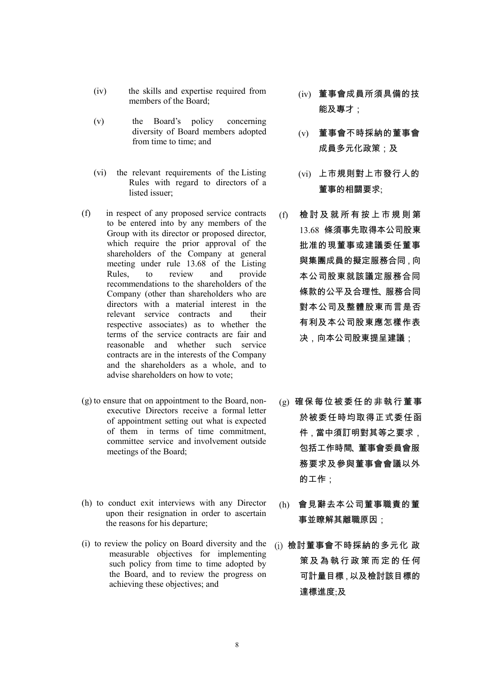- (iv) the skills and expertise required from members of the Board;
- (v) the Board's policy concerning diversity of Board members adopted from time to time; and
- (vi) the relevant requirements of the Listing Rules with regard to directors of a listed issuer;
- (f) in respect of any proposed service contracts to be entered into by any members of the Group with its director or proposed director, which require the prior approval of the shareholders of the Company at general meeting under rule 13.68 of the Listing Rules, to review and provide recommendations to the shareholders of the Company (other than shareholders who are directors with a material interest in the relevant service contracts and their respective associates) as to whether the terms of the service contracts are fair and reasonable and whether such service contracts are in the interests of the Company and the shareholders as a whole, and to advise shareholders on how to vote;
- (g) to ensure that on appointment to the Board, nonexecutive Directors receive a formal letter of appointment setting out what is expected of them in terms of time commitment, committee service and involvement outside meetings of the Board;
- (h) to conduct exit interviews with any Director upon their resignation in order to ascertain the reasons for his departure;
- (i) to review the policy on Board diversity and the measurable objectives for implementing such policy from time to time adopted by the Board, and to review the progress on achieving these objectives; and
- (iv) 董事會成員所須具備的技 能及專才;
- (v) 董事會不時採納的董事會 成員多元化政策;及
- (vi) 上市規則對上市發行人的 董事的相關要求;
- (f) 檢 討 及 就 所 有 按 上 市 規 則 第 13.68 條須事先取得本公司股東 批准的現董事或建議委任董事 與集團成員的擬定服務合同,向 本公司股東就該議定服務合同 條款的公平及合理性、服務合同 對本公司及整體股東而言是否 有利及本公司股東應怎樣作表 决,向本公司股東提呈建議;
- (g) 確保每位被委任的非執行董事 於被委任時均取得正式委任函 件,當中須訂明對其等之要求, 包括工作時間、董事會委員會服 務要求及參與董事會會議以外 的工作;
- (h) 會見辭去本公司董事職責的董 事並瞭解其離職原因;
- (i) 檢討董事會不時採納的多元化 政 策 及 為 執 行 政 策 而 定 的 任 何 可計量目標,以及檢討該目標的 達標進度;及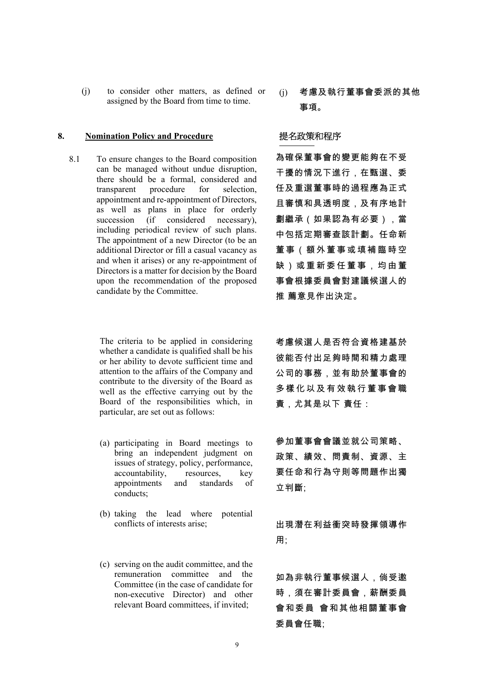(j) to consider other matters, as defined or assigned by the Board from time to time.

### 8. Nomination Policy and Procedure **提名政策和程序**

8.1 To ensure changes to the Board composition can be managed without undue disruption, there should be a formal, considered and transparent procedure for selection, appointment and re-appointment of Directors, as well as plans in place for orderly succession (if considered necessary), including periodical review of such plans. The appointment of a new Director (to be an additional Director or fill a casual vacancy as and when it arises) or any re-appointment of Directors is a matter for decision by the Board upon the recommendation of the proposed candidate by the Committee.

> The criteria to be applied in considering whether a candidate is qualified shall be his or her ability to devote sufficient time and attention to the affairs of the Company and contribute to the diversity of the Board as well as the effective carrying out by the Board of the responsibilities which, in particular, are set out as follows:

- (a) participating in Board meetings to bring an independent judgment on issues of strategy, policy, performance, accountability, resources, key appointments and standards of conducts;
- (b) taking the lead where potential conflicts of interests arise;
- (c) serving on the audit committee, and the remuneration committee and the Committee (in the case of candidate for non-executive Director) and other relevant Board committees, if invited;

(j) 考慮及執行董事會委派的其他 事項。

為確保董事會的變更能夠在不受 干擾的情況下進行,在甄選、委 任及重選董事時的過程應為正式 且審慎和具透明度,及有序地計 劃繼承(如果認為有必要),當 中包括定期審查該計劃。任命新 董事(額外董事或填補臨時空 缺)或重新委任董事,均由董 事會根據委員會對建議候選人的 推 薦意見作出決定。

考慮候選人是否符合資格建基於 彼能否付出足夠時間和精力處理 公司的事務,並有助於董事會的 多樣化以及有效執行董事會職 責,尤其是以下 責任:

參加董事會會議並就公司策略、 政策、績效、問責制、資源、主 要任命和行為守則等問題作出獨 立判斷;

出現潛在利益衝突時發揮領導作 用;

如為非執行董事候選人,倘受邀 時,須在審計委員會,薪酬委員 會和委員 會和其他相關董事會 委員會任職;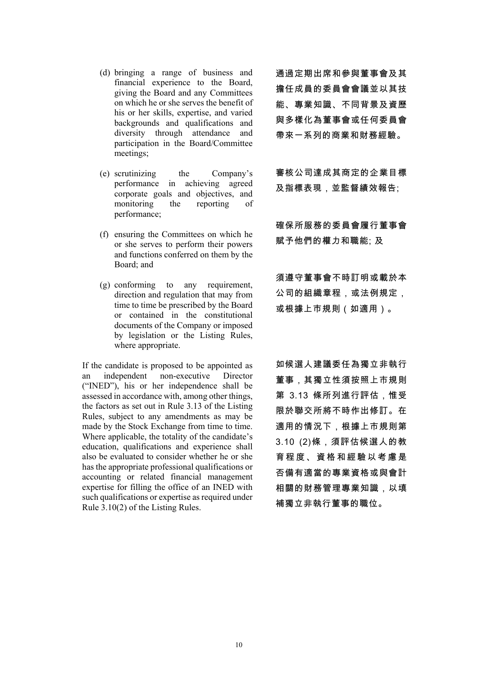- (d) bringing a range of business and financial experience to the Board, giving the Board and any Committees on which he or she serves the benefit of his or her skills, expertise, and varied backgrounds and qualifications and diversity through attendance and participation in the Board/Committee meetings;
- (e) scrutinizing the Company's performance in achieving agreed corporate goals and objectives, and monitoring the reporting of performance;
- (f) ensuring the Committees on which he or she serves to perform their powers and functions conferred on them by the Board; and
- (g) conforming to any requirement, direction and regulation that may from time to time be prescribed by the Board or contained in the constitutional documents of the Company or imposed by legislation or the Listing Rules, where appropriate.

If the candidate is proposed to be appointed as<br>an independent non-executive Director  $an$  independent non-executive ("INED"), his or her independence shall be assessed in accordance with, among other things, the factors as set out in Rule 3.13 of the Listing Rules, subject to any amendments as may be made by the Stock Exchange from time to time. Where applicable, the totality of the candidate's education, qualifications and experience shall also be evaluated to consider whether he or she has the appropriate professional qualifications or accounting or related financial management expertise for filling the office of an INED with such qualifications or expertise as required under Rule 3.10(2) of the Listing Rules.

通過定期出席和參與董事會及其 擔任成員的委員會會議並以其技 能、專業知識、不同背景及資歷 與多樣化為董事會或任何委員會 帶來一系列的商業和財務經驗。

審核公司達成其商定的企業目標 及指標表現,並監督績效報告;

確保所服務的委員會履行董事會 賦予他們的權力和職能; 及

須遵守董事會不時訂明或載於本 公司的組織章程,或法例規定, 或根據上巿規則(如適用)。

如候選人建議委任為獨立非執行 董事,其獨立性須按照上市規則 第 3.13 條所列進行評估,惟受 限於聯交所將不時作出修訂。在 適用的情況下,根據上市規則第 3.10 (2)條,須評估候選人的教 育程度、資格和經驗以考慮是 否備有適當的專業資格或與會計 相關的財務管理專業知識,以填 補獨立非執行董事的職位。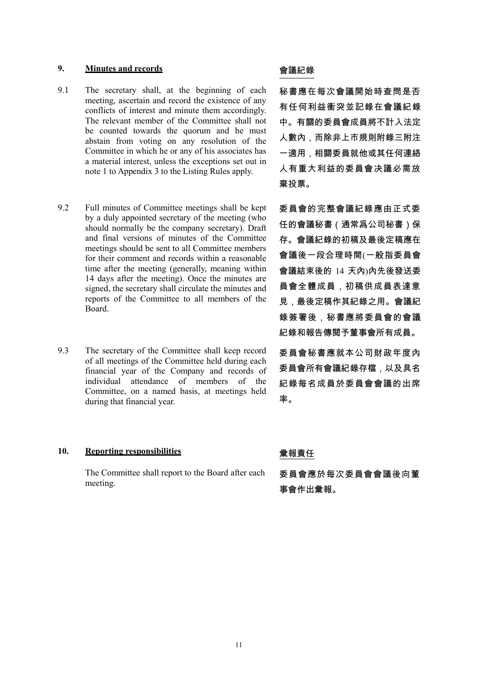## **9. Minutes and records** 會議紀錄

- 9.1 The secretary shall, at the beginning of each meeting, ascertain and record the existence of any conflicts of interest and minute them accordingly. The relevant member of the Committee shall not be counted towards the quorum and he must abstain from voting on any resolution of the Committee in which he or any of his associates has a material interest, unless the exceptions set out in note 1 to Appendix 3 to the Listing Rules apply.
- 9.2 Full minutes of Committee meetings shall be kept by a duly appointed secretary of the meeting (who should normally be the company secretary). Draft and final versions of minutes of the Committee meetings should be sent to all Committee members for their comment and records within a reasonable time after the meeting (generally, meaning within 14 days after the meeting). Once the minutes are signed, the secretary shall circulate the minutes and reports of the Committee to all members of the Board.
- 9.3 The secretary of the Committee shall keep record of all meetings of the Committee held during each financial year of the Company and records of individual attendance of members of the Committee, on a named basis, at meetings held during that financial year.

## 10. Reporting responsibilities **because of the original contract of the original of the original of the original of the set of the set of the set of the set of the set of the set of the set of the set of the set of the se**

The Committee shall report to the Board after each meeting.

秘書應在每次會議開始時查問是否 有任何利益衝突並記錄在會議紀錄 中。有關的委員會成員將不計入法定 人數內,而除非上市規則附錄三附注 一適用,相關委員就他或其任何連絡 人有重大利益的委員會决議必需放 棄投票。

委員會的完整會議紀錄應由正式委 任的會議秘書(通常爲公司秘書)保 存。會議紀錄的初稿及最後定稿應在 會議後一段合理時間(一般指委員會 會議結束後的 14 天內)內先後發送委 員會全體成員,初稿供成員表達意 見,最後定稿作其紀錄之用。會議紀 錄簽署後,秘書應將委員會的會議 紀錄和報告傳閱予董事會所有成員。

委員會秘書應就本公司財政年度內 委員會所有會議紀錄存檔,以及具名 紀錄每名成員於委員會會議的出席 率。

委員會應於每次委員會會議後向董 事會作出彙報。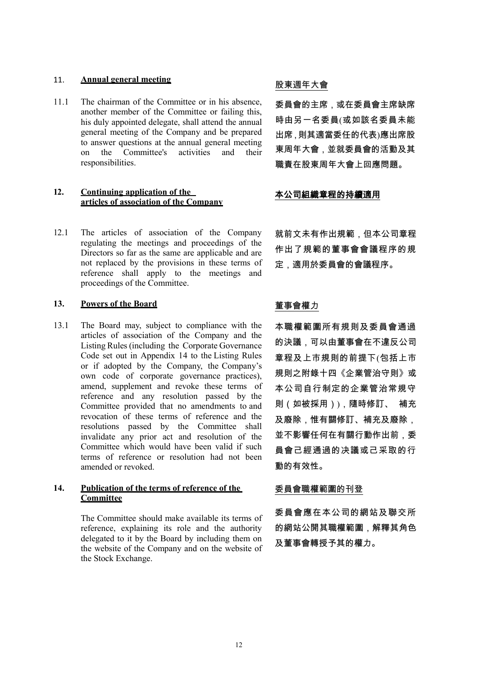# 11. **Annual general meeting and all and all and all and all and all and all and all and all and all and all and**

11.1 The chairman of the Committee or in his absence, another member of the Committee or failing this, his duly appointed delegate, shall attend the annual general meeting of the Company and be prepared to answer questions at the annual general meeting on the Committee's activities and their responsibilities.

### **12. Continuing application of the articles of association of the Company**

12.1 The articles of association of the Company regulating the meetings and proceedings of the Directors so far as the same are applicable and are not replaced by the provisions in these terms of reference shall apply to the meetings and proceedings of the Committee.

## 13. **Powers of the Board Key The Example 2018**

13.1 The Board may, subject to compliance with the articles of association of the Company and the Listing Rules (including the Corporate Governance Code set out in Appendix 14 to the Listing Rules or if adopted by the Company, the Company's own code of corporate governance practices), amend, supplement and revoke these terms of reference and any resolution passed by the Committee provided that no amendments to and revocation of these terms of reference and the resolutions passed by the Committee shall invalidate any prior act and resolution of the Committee which would have been valid if such terms of reference or resolution had not been amended or revoked.

### **14. Publication of the terms of reference of the Committee**

The Committee should make available its terms of reference, explaining its role and the authority delegated to it by the Board by including them on the website of the Company and on the website of the Stock Exchange.

委員會的主席,或在委員會主席缺席 時由另一名委員(或如該名委員未能 出席,則其適當委任的代表)應出席股 東周年大會,並就委員會的活動及其 職責在股東周年大會上回應問題。

### 本公司組織章程的持續適用

就前文未有作出規範,但本公司章程 作出了規範的董事會會議程序的規 定,適用於委員會的會議程序。

本職權範圍所有規則及委員會通過 的決議,可以由董事會在不違反公司 章程及上市規則的前提下(包括上市 規則之附錄十四《企業管治守則》或 本公司自行制定的企業管治常規守 則(如被採用)),隨時修訂、 補充 及廢除,惟有關修訂、補充及廢除, 並不影響任何在有關行動作出前,委 員會己經通過的决議或己采取的行 動的有效性。

### 委員會職權範圍的刊登

委員會應在本公司的網站及聯交所 的網站公開其職權範圍,解釋其角色 及董事會轉授予其的權力。